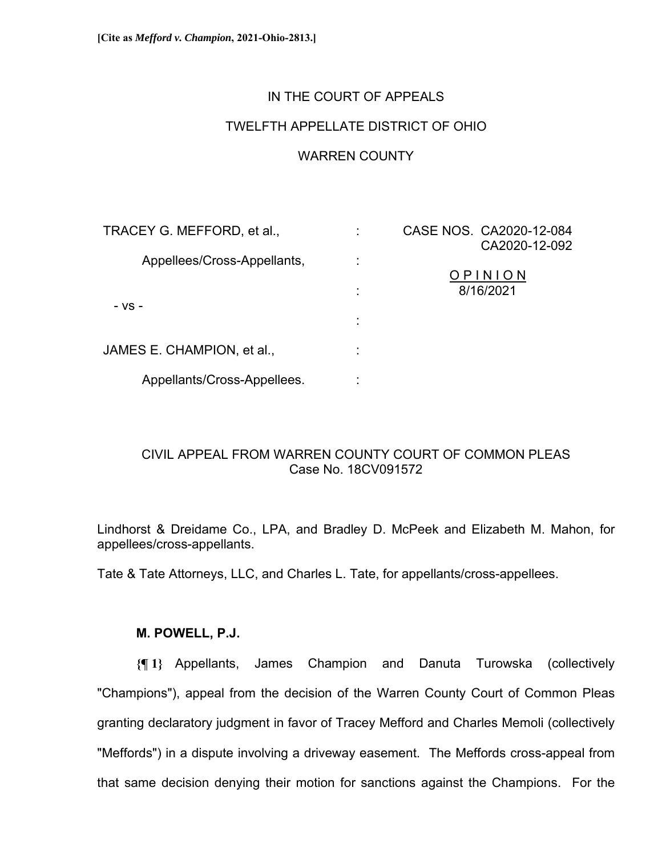## IN THE COURT OF APPEALS

# TWELFTH APPELLATE DISTRICT OF OHIO

#### WARREN COUNTY

| TRACEY G. MEFFORD, et al.,  |   | CASE NOS. CA2020-12-084 |
|-----------------------------|---|-------------------------|
|                             |   | CA2020-12-092           |
| Appellees/Cross-Appellants, |   |                         |
|                             |   | OPINION                 |
| - VS -                      | ٠ | 8/16/2021               |
|                             |   |                         |
|                             |   |                         |
| JAMES E. CHAMPION, et al.,  |   |                         |
|                             |   |                         |
| Appellants/Cross-Appellees. |   |                         |

## CIVIL APPEAL FROM WARREN COUNTY COURT OF COMMON PLEAS Case No. 18CV091572

Lindhorst & Dreidame Co., LPA, and Bradley D. McPeek and Elizabeth M. Mahon, for appellees/cross-appellants.

Tate & Tate Attorneys, LLC, and Charles L. Tate, for appellants/cross-appellees.

#### **M. POWELL, P.J.**

**{¶ 1}** Appellants, James Champion and Danuta Turowska (collectively "Champions"), appeal from the decision of the Warren County Court of Common Pleas granting declaratory judgment in favor of Tracey Mefford and Charles Memoli (collectively "Meffords") in a dispute involving a driveway easement. The Meffords cross-appeal from that same decision denying their motion for sanctions against the Champions. For the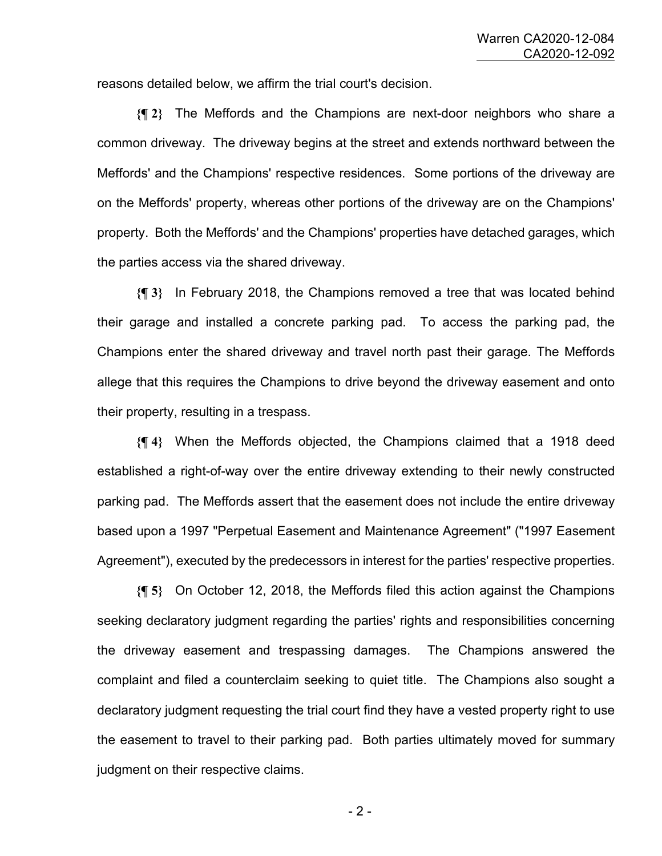reasons detailed below, we affirm the trial court's decision.

**{¶ 2}** The Meffords and the Champions are next-door neighbors who share a common driveway. The driveway begins at the street and extends northward between the Meffords' and the Champions' respective residences. Some portions of the driveway are on the Meffords' property, whereas other portions of the driveway are on the Champions' property. Both the Meffords' and the Champions' properties have detached garages, which the parties access via the shared driveway.

**{¶ 3}** In February 2018, the Champions removed a tree that was located behind their garage and installed a concrete parking pad. To access the parking pad, the Champions enter the shared driveway and travel north past their garage. The Meffords allege that this requires the Champions to drive beyond the driveway easement and onto their property, resulting in a trespass.

**{¶ 4}** When the Meffords objected, the Champions claimed that a 1918 deed established a right-of-way over the entire driveway extending to their newly constructed parking pad. The Meffords assert that the easement does not include the entire driveway based upon a 1997 "Perpetual Easement and Maintenance Agreement" ("1997 Easement Agreement"), executed by the predecessors in interest for the parties' respective properties.

**{¶ 5}** On October 12, 2018, the Meffords filed this action against the Champions seeking declaratory judgment regarding the parties' rights and responsibilities concerning the driveway easement and trespassing damages. The Champions answered the complaint and filed a counterclaim seeking to quiet title. The Champions also sought a declaratory judgment requesting the trial court find they have a vested property right to use the easement to travel to their parking pad. Both parties ultimately moved for summary judgment on their respective claims.

 $-2$  -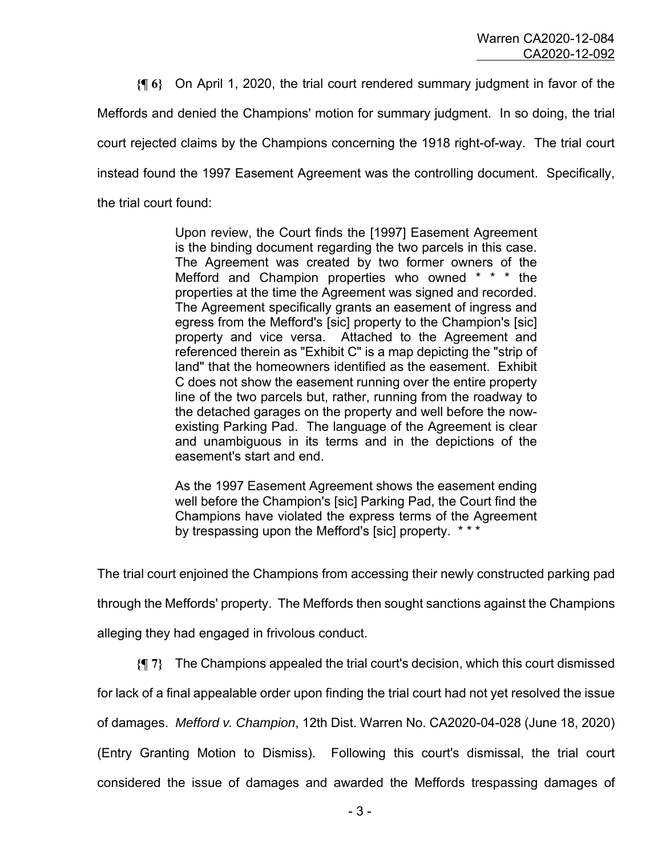**{¶ 6}** On April 1, 2020, the trial court rendered summary judgment in favor of the

Meffords and denied the Champions' motion for summary judgment. In so doing, the trial

court rejected claims by the Champions concerning the 1918 right-of-way. The trial court

instead found the 1997 Easement Agreement was the controlling document. Specifically,

the trial court found:

Upon review, the Court finds the [1997] Easement Agreement is the binding document regarding the two parcels in this case. The Agreement was created by two former owners of the Mefford and Champion properties who owned \* \* \* the properties at the time the Agreement was signed and recorded. The Agreement specifically grants an easement of ingress and egress from the Mefford's [sic] property to the Champion's [sic] property and vice versa. Attached to the Agreement and referenced therein as "Exhibit C" is a map depicting the "strip of land" that the homeowners identified as the easement. Exhibit C does not show the easement running over the entire property line of the two parcels but, rather, running from the roadway to the detached garages on the property and well before the nowexisting Parking Pad. The language of the Agreement is clear and unambiguous in its terms and in the depictions of the easement's start and end.

As the 1997 Easement Agreement shows the easement ending well before the Champion's [sic] Parking Pad, the Court find the Champions have violated the express terms of the Agreement by trespassing upon the Mefford's [sic] property. \* \* \*

The trial court enjoined the Champions from accessing their newly constructed parking pad

through the Meffords' property. The Meffords then sought sanctions against the Champions

alleging they had engaged in frivolous conduct.

**{¶ 7}** The Champions appealed the trial court's decision, which this court dismissed

for lack of a final appealable order upon finding the trial court had not yet resolved the issue

of damages. *Mefford v. Champion*, 12th Dist. Warren No. CA2020-04-028 (June 18, 2020)

(Entry Granting Motion to Dismiss). Following this court's dismissal, the trial court

considered the issue of damages and awarded the Meffords trespassing damages of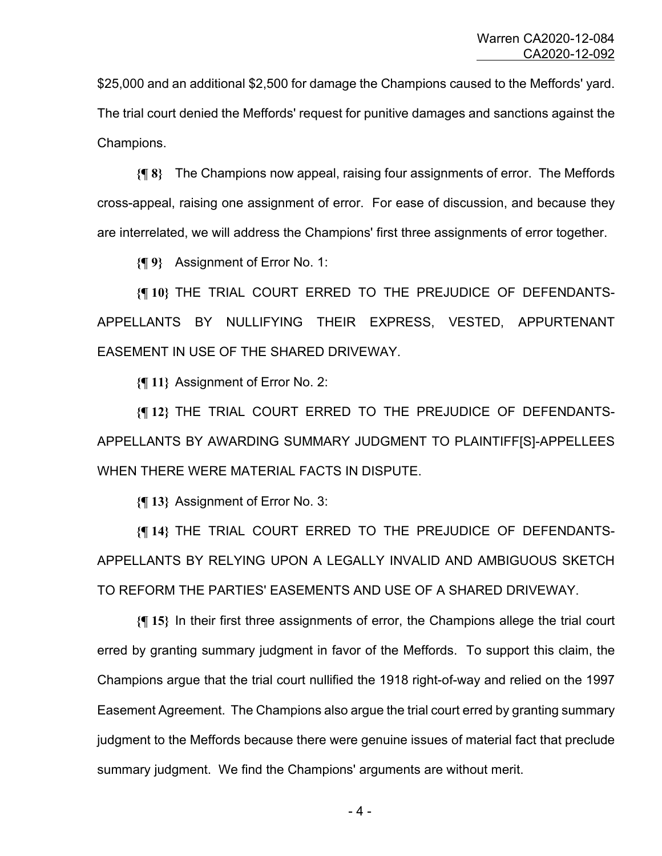\$25,000 and an additional \$2,500 for damage the Champions caused to the Meffords' yard. The trial court denied the Meffords' request for punitive damages and sanctions against the Champions.

**{¶ 8}** The Champions now appeal, raising four assignments of error. The Meffords cross-appeal, raising one assignment of error. For ease of discussion, and because they are interrelated, we will address the Champions' first three assignments of error together.

**{¶ 9}** Assignment of Error No. 1:

**{¶ 10}** THE TRIAL COURT ERRED TO THE PREJUDICE OF DEFENDANTS-APPELLANTS BY NULLIFYING THEIR EXPRESS, VESTED, APPURTENANT EASEMENT IN USE OF THE SHARED DRIVEWAY.

**{¶ 11}** Assignment of Error No. 2:

**{¶ 12}** THE TRIAL COURT ERRED TO THE PREJUDICE OF DEFENDANTS-APPELLANTS BY AWARDING SUMMARY JUDGMENT TO PLAINTIFF[S]-APPELLEES WHEN THERE WERE MATERIAL FACTS IN DISPUTE.

**{¶ 13}** Assignment of Error No. 3:

**{¶ 14}** THE TRIAL COURT ERRED TO THE PREJUDICE OF DEFENDANTS-APPELLANTS BY RELYING UPON A LEGALLY INVALID AND AMBIGUOUS SKETCH TO REFORM THE PARTIES' EASEMENTS AND USE OF A SHARED DRIVEWAY.

**{¶ 15}** In their first three assignments of error, the Champions allege the trial court erred by granting summary judgment in favor of the Meffords. To support this claim, the Champions argue that the trial court nullified the 1918 right-of-way and relied on the 1997 Easement Agreement. The Champions also argue the trial court erred by granting summary judgment to the Meffords because there were genuine issues of material fact that preclude summary judgment. We find the Champions' arguments are without merit.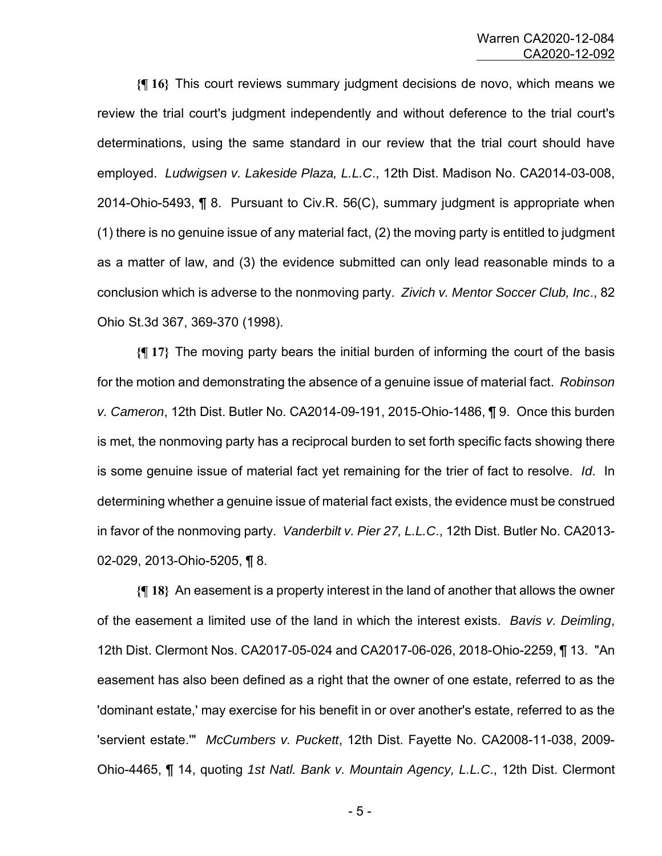**{¶ 16}** This court reviews summary judgment decisions de novo, which means we review the trial court's judgment independently and without deference to the trial court's determinations, using the same standard in our review that the trial court should have employed. *Ludwigsen v. Lakeside Plaza, L.L.C*., 12th Dist. Madison No. CA2014-03-008, 2014-Ohio-5493, ¶ 8. Pursuant to Civ.R. 56(C), summary judgment is appropriate when (1) there is no genuine issue of any material fact, (2) the moving party is entitled to judgment as a matter of law, and (3) the evidence submitted can only lead reasonable minds to a conclusion which is adverse to the nonmoving party. *Zivich v. Mentor Soccer Club, Inc*., 82 Ohio St.3d 367, 369-370 (1998).

**{¶ 17}** The moving party bears the initial burden of informing the court of the basis for the motion and demonstrating the absence of a genuine issue of material fact. *Robinson v. Cameron*, 12th Dist. Butler No. CA2014-09-191, 2015-Ohio-1486, ¶ 9. Once this burden is met, the nonmoving party has a reciprocal burden to set forth specific facts showing there is some genuine issue of material fact yet remaining for the trier of fact to resolve. *Id*. In determining whether a genuine issue of material fact exists, the evidence must be construed in favor of the nonmoving party. *Vanderbilt v. Pier 27, L.L.C*., 12th Dist. Butler No. CA2013- 02-029, 2013-Ohio-5205, ¶ 8.

**{¶ 18}** An easement is a property interest in the land of another that allows the owner of the easement a limited use of the land in which the interest exists. *Bavis v. Deimling*, 12th Dist. Clermont Nos. CA2017-05-024 and CA2017-06-026, 2018-Ohio-2259, ¶ 13. "An easement has also been defined as a right that the owner of one estate, referred to as the 'dominant estate,' may exercise for his benefit in or over another's estate, referred to as the 'servient estate.'" *McCumbers v. Puckett*, 12th Dist. Fayette No. CA2008-11-038, 2009- Ohio-4465, ¶ 14, quoting *1st Natl. Bank v. Mountain Agency, L.L.C*., 12th Dist. Clermont

 $-5$  -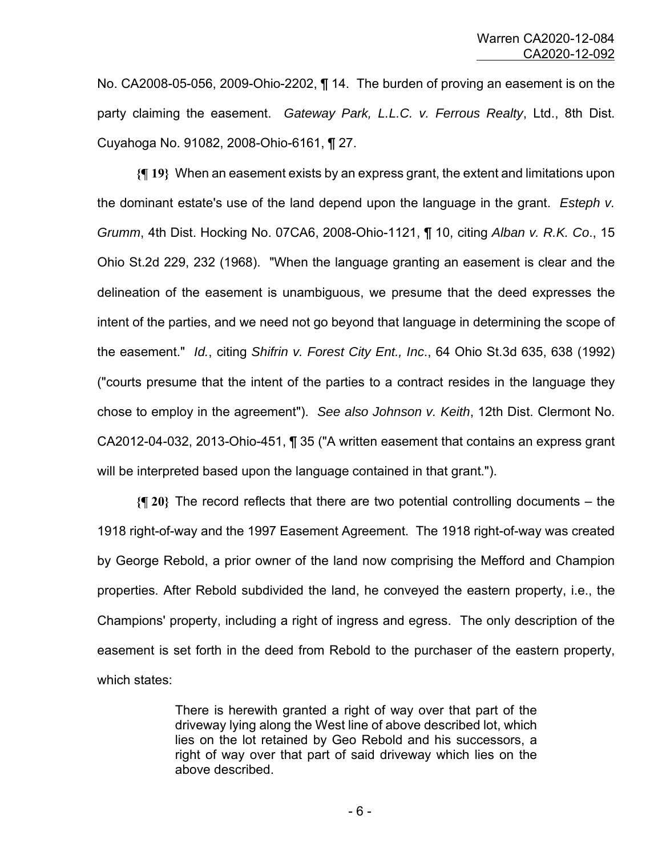No. CA2008-05-056, 2009-Ohio-2202, ¶ 14. The burden of proving an easement is on the party claiming the easement. *Gateway Park, L.L.C. v. Ferrous Realty*, Ltd., 8th Dist. Cuyahoga No. 91082, 2008-Ohio-6161, ¶ 27.

**{¶ 19}** When an easement exists by an express grant, the extent and limitations upon the dominant estate's use of the land depend upon the language in the grant. *Esteph v. Grumm*, 4th Dist. Hocking No. 07CA6, 2008-Ohio-1121, ¶ 10, citing *Alban v. R.K. Co*., 15 Ohio St.2d 229, 232 (1968). "When the language granting an easement is clear and the delineation of the easement is unambiguous, we presume that the deed expresses the intent of the parties, and we need not go beyond that language in determining the scope of the easement." *Id.*, citing *Shifrin v. Forest City Ent., Inc*., 64 Ohio St.3d 635, 638 (1992) ("courts presume that the intent of the parties to a contract resides in the language they chose to employ in the agreement"). *See also Johnson v. Keith*, 12th Dist. Clermont No. CA2012-04-032, 2013-Ohio-451, ¶ 35 ("A written easement that contains an express grant will be interpreted based upon the language contained in that grant.").

**{¶ 20}** The record reflects that there are two potential controlling documents – the 1918 right-of-way and the 1997 Easement Agreement. The 1918 right-of-way was created by George Rebold, a prior owner of the land now comprising the Mefford and Champion properties. After Rebold subdivided the land, he conveyed the eastern property, i.e., the Champions' property, including a right of ingress and egress. The only description of the easement is set forth in the deed from Rebold to the purchaser of the eastern property, which states:

> There is herewith granted a right of way over that part of the driveway lying along the West line of above described lot, which lies on the lot retained by Geo Rebold and his successors, a right of way over that part of said driveway which lies on the above described.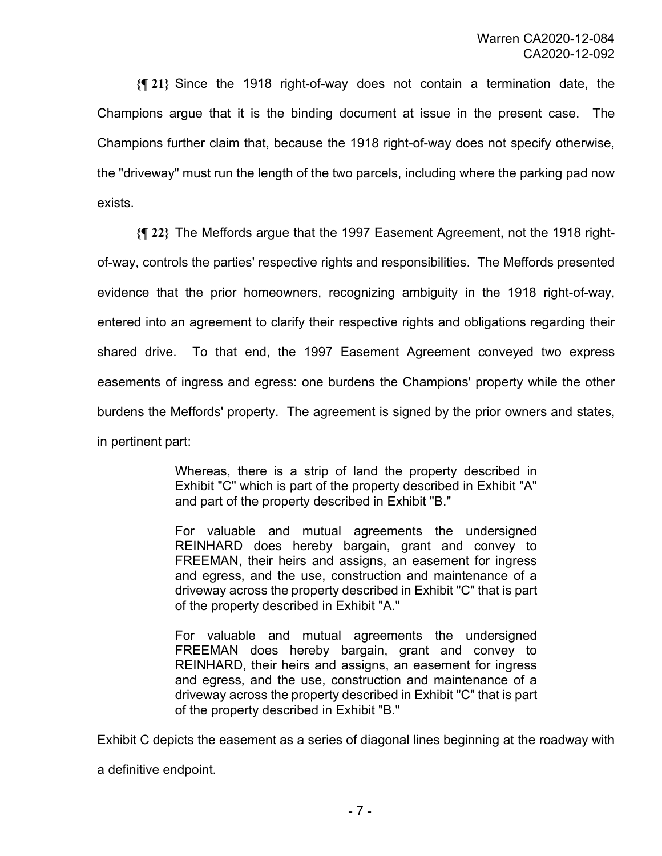**{¶ 21}** Since the 1918 right-of-way does not contain a termination date, the Champions argue that it is the binding document at issue in the present case. The Champions further claim that, because the 1918 right-of-way does not specify otherwise, the "driveway" must run the length of the two parcels, including where the parking pad now exists.

**{¶ 22}** The Meffords argue that the 1997 Easement Agreement, not the 1918 rightof-way, controls the parties' respective rights and responsibilities. The Meffords presented evidence that the prior homeowners, recognizing ambiguity in the 1918 right-of-way, entered into an agreement to clarify their respective rights and obligations regarding their shared drive. To that end, the 1997 Easement Agreement conveyed two express easements of ingress and egress: one burdens the Champions' property while the other burdens the Meffords' property. The agreement is signed by the prior owners and states, in pertinent part:

> Whereas, there is a strip of land the property described in Exhibit "C" which is part of the property described in Exhibit "A" and part of the property described in Exhibit "B."

> For valuable and mutual agreements the undersigned REINHARD does hereby bargain, grant and convey to FREEMAN, their heirs and assigns, an easement for ingress and egress, and the use, construction and maintenance of a driveway across the property described in Exhibit "C" that is part of the property described in Exhibit "A."

> For valuable and mutual agreements the undersigned FREEMAN does hereby bargain, grant and convey to REINHARD, their heirs and assigns, an easement for ingress and egress, and the use, construction and maintenance of a driveway across the property described in Exhibit "C" that is part of the property described in Exhibit "B."

Exhibit C depicts the easement as a series of diagonal lines beginning at the roadway with

a definitive endpoint.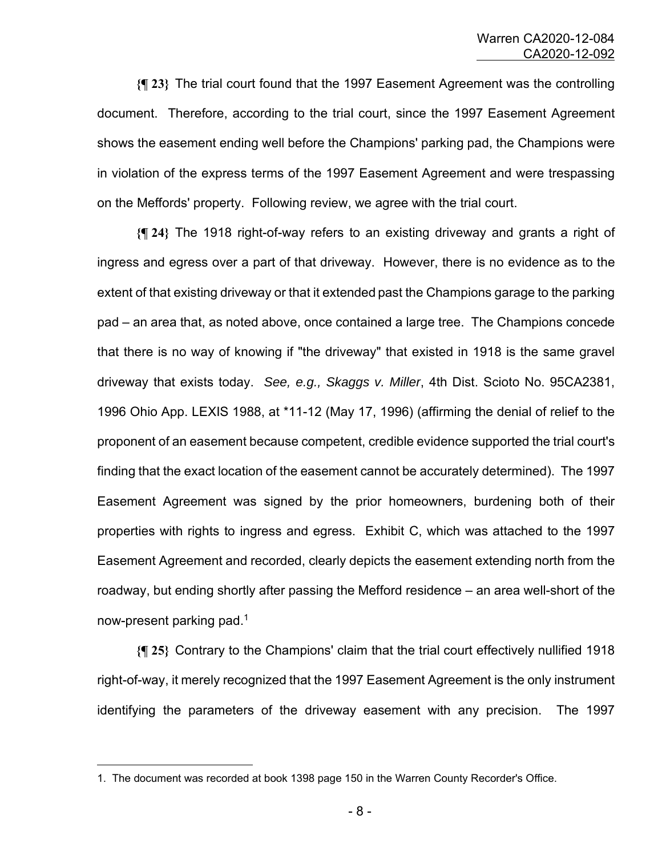**{¶ 23}** The trial court found that the 1997 Easement Agreement was the controlling document. Therefore, according to the trial court, since the 1997 Easement Agreement shows the easement ending well before the Champions' parking pad, the Champions were in violation of the express terms of the 1997 Easement Agreement and were trespassing on the Meffords' property. Following review, we agree with the trial court.

**{¶ 24}** The 1918 right-of-way refers to an existing driveway and grants a right of ingress and egress over a part of that driveway. However, there is no evidence as to the extent of that existing driveway or that it extended past the Champions garage to the parking pad – an area that, as noted above, once contained a large tree. The Champions concede that there is no way of knowing if "the driveway" that existed in 1918 is the same gravel driveway that exists today. *See, e.g., Skaggs v. Miller*, 4th Dist. Scioto No. 95CA2381, 1996 Ohio App. LEXIS 1988, at \*11-12 (May 17, 1996) (affirming the denial of relief to the proponent of an easement because competent, credible evidence supported the trial court's finding that the exact location of the easement cannot be accurately determined). The 1997 Easement Agreement was signed by the prior homeowners, burdening both of their properties with rights to ingress and egress. Exhibit C, which was attached to the 1997 Easement Agreement and recorded, clearly depicts the easement extending north from the roadway, but ending shortly after passing the Mefford residence – an area well-short of the now-present parking pad.<sup>1</sup>

**{¶ 25}** Contrary to the Champions' claim that the trial court effectively nullified 1918 right-of-way, it merely recognized that the 1997 Easement Agreement is the only instrument identifying the parameters of the driveway easement with any precision. The 1997

<sup>1.</sup> The document was recorded at book 1398 page 150 in the Warren County Recorder's Office.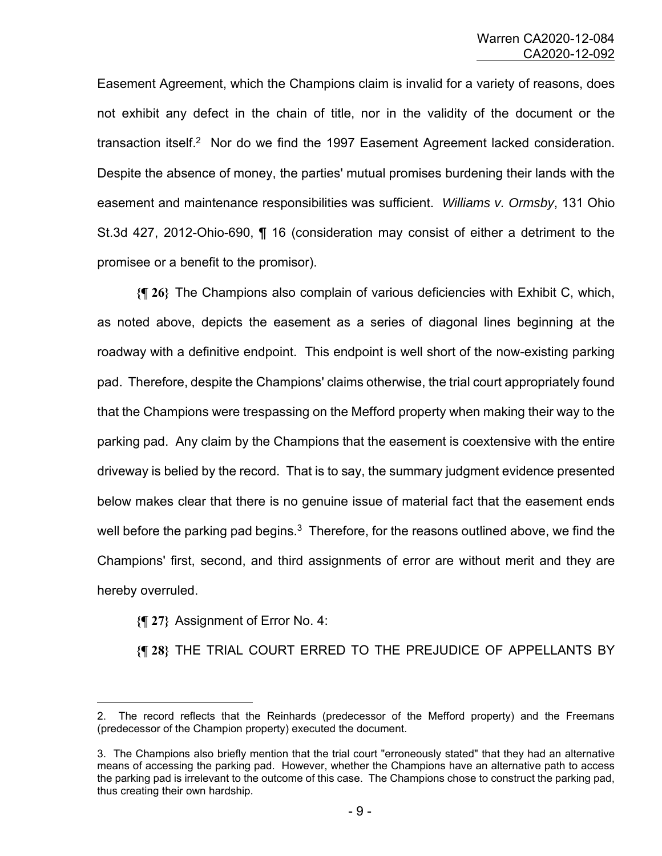Easement Agreement, which the Champions claim is invalid for a variety of reasons, does not exhibit any defect in the chain of title, nor in the validity of the document or the transaction itself.<sup>2</sup> Nor do we find the 1997 Easement Agreement lacked consideration. Despite the absence of money, the parties' mutual promises burdening their lands with the easement and maintenance responsibilities was sufficient. *Williams v. Ormsby*, 131 Ohio St.3d 427, 2012-Ohio-690, ¶ 16 (consideration may consist of either a detriment to the promisee or a benefit to the promisor).

**{¶ 26}** The Champions also complain of various deficiencies with Exhibit C, which, as noted above, depicts the easement as a series of diagonal lines beginning at the roadway with a definitive endpoint. This endpoint is well short of the now-existing parking pad. Therefore, despite the Champions' claims otherwise, the trial court appropriately found that the Champions were trespassing on the Mefford property when making their way to the parking pad. Any claim by the Champions that the easement is coextensive with the entire driveway is belied by the record. That is to say, the summary judgment evidence presented below makes clear that there is no genuine issue of material fact that the easement ends well before the parking pad begins. $3$  Therefore, for the reasons outlined above, we find the Champions' first, second, and third assignments of error are without merit and they are hereby overruled.

**{¶ 27}** Assignment of Error No. 4:

**{¶ 28}** THE TRIAL COURT ERRED TO THE PREJUDICE OF APPELLANTS BY

<sup>2.</sup> The record reflects that the Reinhards (predecessor of the Mefford property) and the Freemans (predecessor of the Champion property) executed the document.

<sup>3.</sup> The Champions also briefly mention that the trial court "erroneously stated" that they had an alternative means of accessing the parking pad. However, whether the Champions have an alternative path to access the parking pad is irrelevant to the outcome of this case. The Champions chose to construct the parking pad, thus creating their own hardship.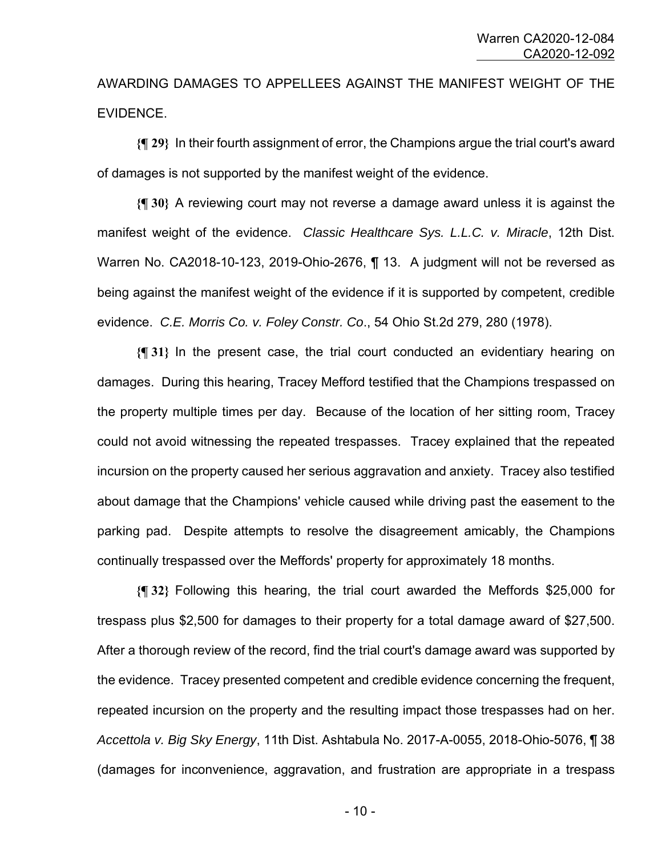AWARDING DAMAGES TO APPELLEES AGAINST THE MANIFEST WEIGHT OF THE EVIDENCE.

**{¶ 29}** In their fourth assignment of error, the Champions argue the trial court's award of damages is not supported by the manifest weight of the evidence.

**{¶ 30}** A reviewing court may not reverse a damage award unless it is against the manifest weight of the evidence. *Classic Healthcare Sys. L.L.C. v. Miracle*, 12th Dist. Warren No. CA2018-10-123, 2019-Ohio-2676, ¶ 13. A judgment will not be reversed as being against the manifest weight of the evidence if it is supported by competent, credible evidence. *C.E. Morris Co. v. Foley Constr. Co*., 54 Ohio St.2d 279, 280 (1978).

**{¶ 31}** In the present case, the trial court conducted an evidentiary hearing on damages. During this hearing, Tracey Mefford testified that the Champions trespassed on the property multiple times per day. Because of the location of her sitting room, Tracey could not avoid witnessing the repeated trespasses. Tracey explained that the repeated incursion on the property caused her serious aggravation and anxiety. Tracey also testified about damage that the Champions' vehicle caused while driving past the easement to the parking pad. Despite attempts to resolve the disagreement amicably, the Champions continually trespassed over the Meffords' property for approximately 18 months.

**{¶ 32}** Following this hearing, the trial court awarded the Meffords \$25,000 for trespass plus \$2,500 for damages to their property for a total damage award of \$27,500. After a thorough review of the record, find the trial court's damage award was supported by the evidence. Tracey presented competent and credible evidence concerning the frequent, repeated incursion on the property and the resulting impact those trespasses had on her. *Accettola v. Big Sky Energy*, 11th Dist. Ashtabula No. 2017-A-0055, 2018-Ohio-5076, ¶ 38 (damages for inconvenience, aggravation, and frustration are appropriate in a trespass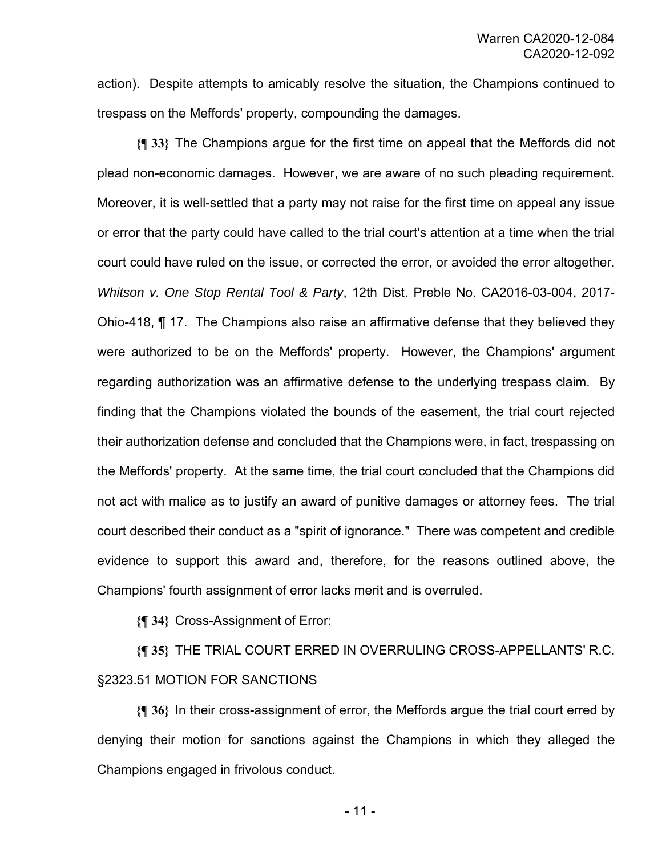action). Despite attempts to amicably resolve the situation, the Champions continued to trespass on the Meffords' property, compounding the damages.

**{¶ 33}** The Champions argue for the first time on appeal that the Meffords did not plead non-economic damages. However, we are aware of no such pleading requirement. Moreover, it is well-settled that a party may not raise for the first time on appeal any issue or error that the party could have called to the trial court's attention at a time when the trial court could have ruled on the issue, or corrected the error, or avoided the error altogether. *Whitson v. One Stop Rental Tool & Party*, 12th Dist. Preble No. CA2016-03-004, 2017- Ohio-418, ¶ 17. The Champions also raise an affirmative defense that they believed they were authorized to be on the Meffords' property. However, the Champions' argument regarding authorization was an affirmative defense to the underlying trespass claim. By finding that the Champions violated the bounds of the easement, the trial court rejected their authorization defense and concluded that the Champions were, in fact, trespassing on the Meffords' property. At the same time, the trial court concluded that the Champions did not act with malice as to justify an award of punitive damages or attorney fees. The trial court described their conduct as a "spirit of ignorance." There was competent and credible evidence to support this award and, therefore, for the reasons outlined above, the Champions' fourth assignment of error lacks merit and is overruled.

**{¶ 34}** Cross-Assignment of Error:

**{¶ 35}** THE TRIAL COURT ERRED IN OVERRULING CROSS-APPELLANTS' R.C. §2323.51 MOTION FOR SANCTIONS

**{¶ 36}** In their cross-assignment of error, the Meffords argue the trial court erred by denying their motion for sanctions against the Champions in which they alleged the Champions engaged in frivolous conduct.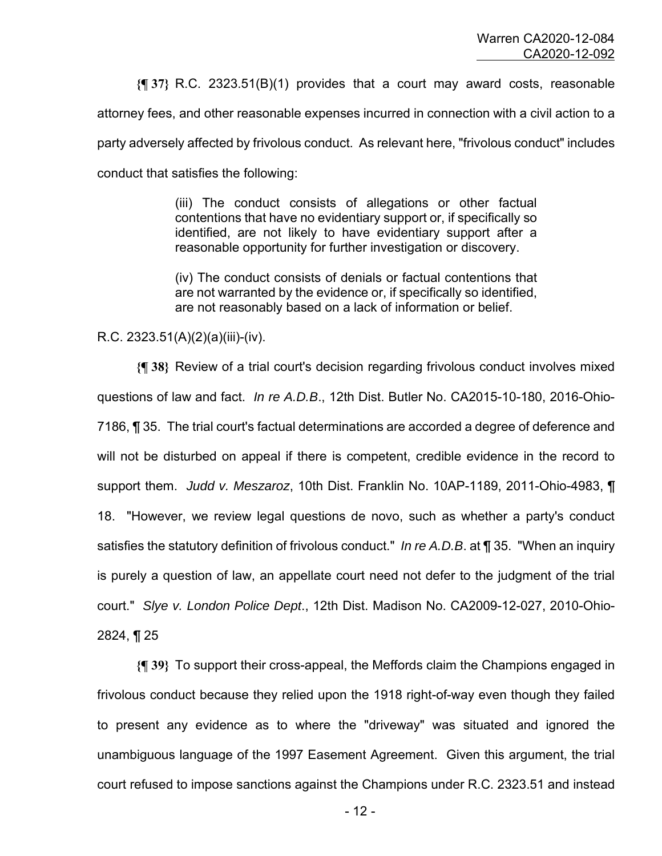**{¶ 37}** R.C. 2323.51(B)(1) provides that a court may award costs, reasonable

attorney fees, and other reasonable expenses incurred in connection with a civil action to a

party adversely affected by frivolous conduct. As relevant here, "frivolous conduct" includes

conduct that satisfies the following:

(iii) The conduct consists of allegations or other factual contentions that have no evidentiary support or, if specifically so identified, are not likely to have evidentiary support after a reasonable opportunity for further investigation or discovery.

(iv) The conduct consists of denials or factual contentions that are not warranted by the evidence or, if specifically so identified, are not reasonably based on a lack of information or belief.

#### R.C. 2323.51(A)(2)(a)(iii)-(iv).

**{¶ 38}** Review of a trial court's decision regarding frivolous conduct involves mixed questions of law and fact. *In re A.D.B*., 12th Dist. Butler No. CA2015-10-180, 2016-Ohio-7186, ¶ 35. The trial court's factual determinations are accorded a degree of deference and will not be disturbed on appeal if there is competent, credible evidence in the record to support them. *Judd v. Meszaroz*, 10th Dist. Franklin No. 10AP-1189, 2011-Ohio-4983, ¶ 18. "However, we review legal questions de novo, such as whether a party's conduct satisfies the statutory definition of frivolous conduct." *In re A.D.B*. at ¶ 35. "When an inquiry is purely a question of law, an appellate court need not defer to the judgment of the trial court." *Slye v. London Police Dept*., 12th Dist. Madison No. CA2009-12-027, 2010-Ohio-2824, ¶ 25

**{¶ 39}** To support their cross-appeal, the Meffords claim the Champions engaged in frivolous conduct because they relied upon the 1918 right-of-way even though they failed to present any evidence as to where the "driveway" was situated and ignored the unambiguous language of the 1997 Easement Agreement. Given this argument, the trial court refused to impose sanctions against the Champions under R.C. 2323.51 and instead